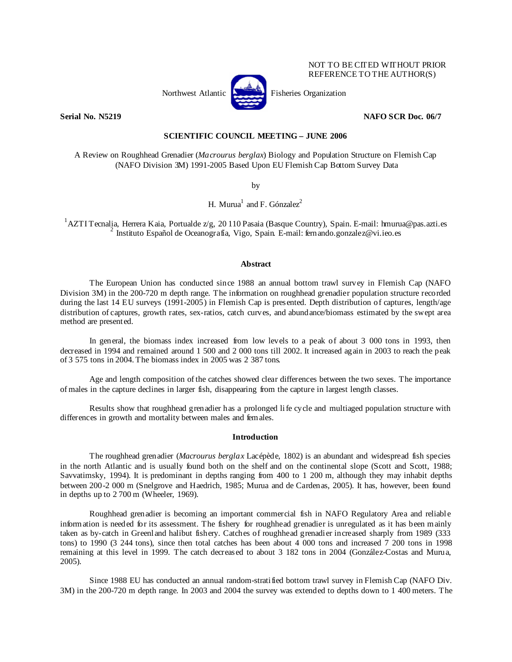

NOT TO BE CITED WITHOUT PRIOR REFERENCE TO THE AUTHOR(S)

# **Serial No. N5219 NAFO SCR Doc. 06/7**

# **SCIENTIFIC COUNCIL MEETING – JUNE 2006**

A Review on Roughhead Grenadier (*Macrourus berglax*) Biology and Population Structure on Flemish Cap (NAFO Division 3M) 1991-2005 Based Upon EU Flemish Cap Bottom Survey Data

by

H. Murua<sup>1</sup> and F. Gónzalez<sup>2</sup>

<sup>1</sup>AZTI Tecnalia, Herrera Kaia, Portualde z/g, 20 110 Pasaia (Basque Country), Spain. E-mail: hmurua@pas.azti.es <sup>2</sup> Instituto Español de Oceanografía, Vigo, Spain. E-mail: fernando.gonzalez@vi.ieo.es

## **Abstract**

The European Union has conducted since 1988 an annual bottom trawl survey in Flemish Cap (NAFO Division 3M) in the 200-720 m depth range. The information on roughhead grenadier population structure recorded during the last 14 EU surveys (1991-2005) in Flemish Cap is presented. Depth distribution of captures, length/age distribution of captures, growth rates, sex-ratios, catch curves, and abundance/biomass estimated by the swept area method are presented.

In general, the biomass index increased from low levels to a peak of about 3 000 tons in 1993, then decreased in 1994 and remained around 1 500 and 2 000 tons till 2002. It increased again in 2003 to reach the peak of 3 575 tons in 2004. The biomass index in 2005 was 2 387 tons.

Age and length composition of the catches showed clear differences between the two sexes. The importance of males in the capture declines in larger fish, disappearing from the capture in largest length classes.

Results show that roughhead grenadier has a prolonged life cycle and multiaged population structure with differences in growth and mortality between males and females.

### **Introduction**

The roughhead grenadier (*Macrourus berglax* Lacépède, 1802) is an abundant and widespread fish species in the north Atlantic and is usually found both on the shelf and on the continental slope (Scott and Scott, 1988; Savvatimsky, 1994). It is predominant in depths ranging from 400 to 1 200 m, although they may inhabit depths between 200-2 000 m (Snelgrove and Haedrich, 1985; Murua and de Cardenas, 2005). It has, however, been found in depths up to 2 700 m (Wheeler, 1969).

Roughhead grenadier is becoming an important commercial fish in NAFO Regulatory Area and reliable information is needed for its assessment. The fishery for roughhead grenadier is unregulated as it has been mainly taken as by-catch in Greenland halibut fishery. Catches of roughhead grenadier increased sharply from 1989 (333 tons) to 1990 (3 244 tons), since then total catches has been about 4 000 tons and increased 7 200 tons in 1998 remaining at this level in 1999. The catch decreased to about 3 182 tons in 2004 (González-Costas and Murua, 2005).

Since 1988 EU has conducted an annual random-stratified bottom trawl survey in Flemish Cap (NAFO Div. 3M) in the 200-720 m depth range. In 2003 and 2004 the survey was extended to depths down to 1 400 meters. The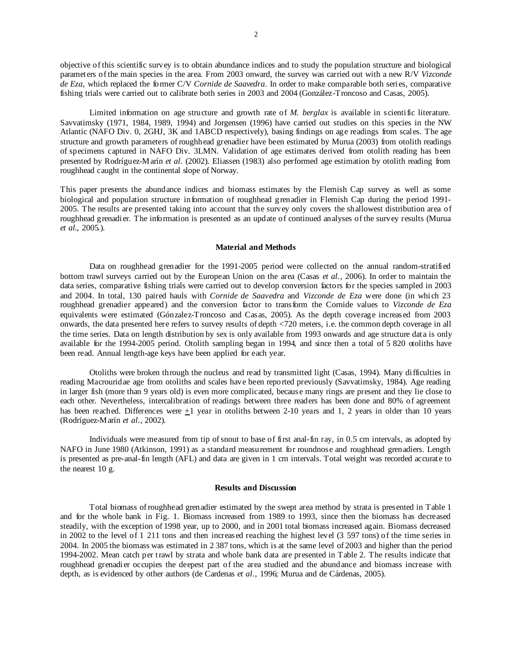objective of this scientific survey is to obtain abundance indices and to study the population structure and biological parameters of the main species in the area. From 2003 onward, the survey was carried out with a new R/V *Vizconde de Eza*, which replaced the former C/V *Cornide de Saavedra*. In order to make comparable both series, comparative fishing trials were carried out to calibrate both series in 2003 and 2004 (González-Troncoso and Casas, 2005).

 Limited information on age structure and growth rate of *M. berglax* is available in scientific literature. Savvatimsky (1971, 1984, 1989, 1994) and Jorgensen (1996) have carried out studies on this species in the NW Atlantic (NAFO Div. 0, 2GHJ, 3K and 1ABCD respectively), basing findings on age readings from scales. The age structure and growth parameters of roughhead grenadier have been estimated by Murua (2003) from otolith readings of specimens captured in NAFO Div. 3LMN. Validation of age estimates derived from otolith reading has been presented by Rodríguez-Marín *et al.* (2002). Eliassen (1983) also performed age estimation by otolith reading from roughhead caught in the continental slope of Norway.

This paper presents the abundance indices and biomass estimates by the Flemish Cap survey as well as some biological and population structure information of roughhead grenadier in Flemish Cap during the period 1991- 2005. The results are presented taking into account that the survey only covers the shallowest distribution area of roughhead grenadier. The information is presented as an update of continued analyses of the survey results (Murua *et al.*, 2005.).

#### **Material and Methods**

Data on roughhead grenadier for the 1991-2005 period were collected on the annual random-stratified bottom trawl surveys carried out by the European Union on the area (Casas *et al.,* 2006). In order to maintain the data series, comparative fishing trials were carried out to develop conversion factors for the species sampled in 2003 and 2004. In total, 130 paired hauls with *Cornide de Saavedra* and *Vizconde de Eza* were done (in which 23 roughhead grenadier appeared) and the conversion factor to transform the Cornide values to *Vizconde de Eza* equivalents were estimated (Gónzalez-Troncoso and Casas, 2005). As the depth coverage increased from 2003 onwards, the data presented here refers to survey results of depth <720 meters, i.e. the common depth coverage in all the time series. Data on length distribution by sex is only available from 1993 onwards and age structure data is only available for the 1994-2005 period. Otolith sampling began in 1994, and since then a total of 5 820 otoliths have been read. Annual length-age keys have been applied for each year.

Otoliths were broken through the nucleus and read by transmitted light (Casas, 1994). Many difficulties in reading Macrouridae age from otoliths and scales have been reported previously (Savvatimsky, 1984). Age reading in larger fish (more than 9 years old) is even more complicated, because many rings are present and they lie close to each other. Nevertheless, intercalibration of readings between three readers has been done and 80% of agreement has been reached. Differences were +1 year in otoliths between 2-10 years and 1, 2 years in older than 10 years (Rodríguez-Marín *et al.*, 2002).

Individuals were measured from tip of snout to base of first anal-fin ray, in 0.5 cm intervals, as adopted by NAFO in June 1980 (Atkinson, 1991) as a standard measurement for roundnose and roughhead grenadiers. Length is presented as pre-anal-fin length (AFL) and data are given in 1 cm intervals. Total weight was recorded accurate to the nearest 10 g.

#### **Results and Discussion**

Total biomass of roughhead grenadier estimated by the swept area method by strata is presented in Table 1 and for the whole bank in Fig. 1. Biomass increased from 1989 to 1993, since then the biomass has decreased steadily, with the exception of 1998 year, up to 2000, and in 2001 total biomass increased again. Biomass decreased in 2002 to the level of 1 211 tons and then increased reaching the highest level (3 597 tons) of the time series in 2004. In 2005 the biomass was estimated in 2 387 tons, which is at the same level of 2003 and higher than the period 1994-2002. Mean catch per trawl by strata and whole bank data are presented in Table 2. The results indicate that roughhead grenadier occupies the deepest part of the area studied and the abundance and biomass increase with depth, as is evidenced by other authors (de Cardenas *et al*., 1996; Murua and de Cárdenas, 2005).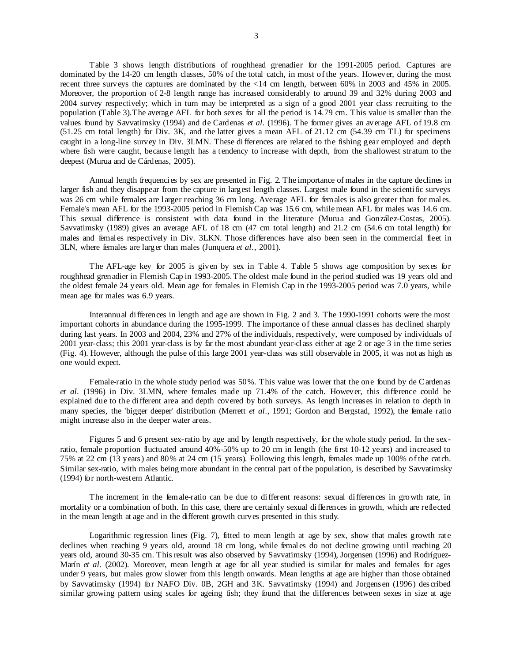3

Table 3 shows length distributions of roughhead grenadier for the 1991-2005 period. Captures are dominated by the 14-20 cm length classes, 50% of the total catch, in most of the years. However, during the most recent three surveys the captures are dominated by the <14 cm length, between 60% in 2003 and 45% in 2005. Moreover, the proportion of 2-8 length range has increased considerably to around 39 and 32% during 2003 and 2004 survey respectively; which in turn may be interpreted as a sign of a good 2001 year class recruiting to the population (Table 3).The average AFL for both sexes for all the period is 14.79 cm. This value is smaller than the values found by Savvatimsky (1994) and de Cardenas *et al*. (1996). The former gives an average AFL of 19.8 cm (51.25 cm total length) for Div. 3K, and the latter gives a mean AFL of 21.12 cm (54.39 cm TL) for specimens caught in a long-line survey in Div. 3LMN. These differences are related to the fishing gear employed and depth where fish were caught, because length has a tendency to increase with depth, from the shallowest stratum to the deepest (Murua and de Cárdenas, 2005).

Annual length frequencies by sex are presented in Fig. 2. The importance of males in the capture declines in larger fish and they disappear from the capture in largest length classes. Largest male found in the scientific surveys was 26 cm while females are larger reaching 36 cm long. Average AFL for females is also greater than for males. Female's mean AFL for the 1993-2005 period in Flemish Cap was 15.6 cm, while mean AFL for males was 14.6 cm. This sexual difference is consistent with data found in the literature (Murua and González-Costas, 2005). Savvatimsky (1989) gives an average AFL of 18 cm (47 cm total length) and 21.2 cm (54.6 cm total length) for males and females respectively in Div. 3LKN. Those differences have also been seen in the commercial fleet in 3LN, where females are larger than males (Junquera *et al*., 2001).

The AFL-age key for 2005 is given by sex in Table 4. Table 5 shows age composition by sexes for roughhead grenadier in Flemish Cap in 1993-2005. The oldest male found in the period studied was 19 years old and the oldest female 24 years old. Mean age for females in Flemish Cap in the 1993-2005 period was 7.0 years, while mean age for males was 6.9 years.

Interannual differences in length and age are shown in Fig. 2 and 3. The 1990-1991 cohorts were the most important cohorts in abundance during the 1995-1999. The importance of these annual classes has declined sharply during last years. In 2003 and 2004, 23% and 27% of the individuals, respectively, were composed by individuals of 2001 year-class; this 2001 year-class is by far the most abundant year-class either at age 2 or age 3 in the time series (Fig. 4). However, although the pulse of this large 2001 year-class was still observable in 2005, it was not as high as one would expect.

Female-ratio in the whole study period was 50%. This value was lower that the one found by de C ardenas *et al*. (1996) in Div. 3LMN, where females made up 71.4% of the catch. However, this difference could be explained due to the different area and depth covered by both surveys. As length increases in relation to depth in many species, the 'bigger deeper' distribution (Merrett *et al*., 1991; Gordon and Bergstad, 1992), the female ratio might increase also in the deeper water areas.

Figures 5 and 6 present sex-ratio by age and by length respectively, for the whole study period. In the sexratio, female proportion fluctuated around 40%-50% up to 20 cm in length (the first 10-12 years) and increased to 75% at 22 cm (13 years) and 80% at 24 cm (15 years). Following this length, females made up 100% of the catch. Similar sex-ratio, with males being more abundant in the central part of the population, is described by Savvatimsky (1994) for north-western Atlantic.

The increment in the female-ratio can be due to different reasons: sexual differences in growth rate, in mortality or a combination of both. In this case, there are certainly sexual differences in growth, which are reflected in the mean length at age and in the different growth curves presented in this study.

Logarithmic regression lines (Fig. 7), fitted to mean length at age by sex, show that males growth rate declines when reaching 9 years old, around 18 cm long, while females do not decline growing until reaching 20 years old, around 30-35 cm. This result was also observed by Savvatimsky (1994), Jorgensen (1996) and Rodríguez-Marín *et al.* (2002). Moreover, mean length at age for all year studied is similar for males and females for ages under 9 years, but males grow slower from this length onwards. Mean lengths at age are higher than those obtained by Savvatimsky (1994) for NAFO Div. 0B, 2GH and 3K. Savvatimsky (1994) and Jorgensen (1996) described similar growing pattern using scales for ageing fish; they found that the differences between sexes in size at age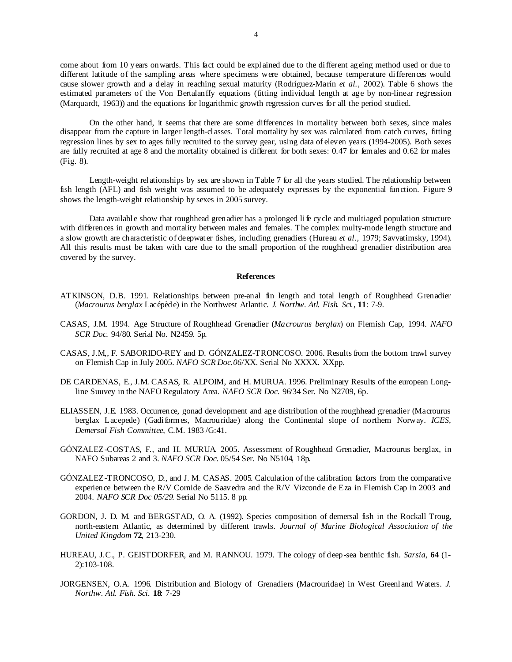come about from 10 years onwards. This fact could be explained due to the different ageing method used or due to different latitude of the sampling areas where specimens were obtained, because temperature differences would cause slower growth and a delay in reaching sexual maturity (Rodríguez-Marín *et al.*, 2002). Table 6 shows the estimated parameters of the Von Bertalanffy equations (fitting individual length at age by non-linear regression (Marquardt, 1963)) and the equations for logarithmic growth regression curves for all the period studied.

On the other hand, it seems that there are some differences in mortality between both sexes, since males disappear from the capture in larger length-classes. Total mortality by sex was calculated from catch curves, fitting regression lines by sex to ages fully recruited to the survey gear, using data of eleven years (1994-2005). Both sexes are fully recruited at age 8 and the mortality obtained is different for both sexes: 0.47 for females and 0.62 for males (Fig. 8).

Length-weight relationships by sex are shown in Table 7 for all the years studied. The relationship between fish length (AFL) and fish weight was assumed to be adequately expresses by the exponential function. Figure 9 shows the length-weight relationship by sexes in 2005 survey.

Data available show that roughhead grenadier has a prolonged life cycle and multiaged population structure with differences in growth and mortality between males and females. The complex multy-mode length structure and a slow growth are characteristic of deepwater fishes, including grenadiers (Hureau *et al*., 1979; Savvatimsky, 1994). All this results must be taken with care due to the small proportion of the roughhead grenadier distribution area covered by the survey.

### **References**

- ATKINSON, D.B. 1991. Relationships between pre-anal fin length and total length of Roughhead Grenadier (*Macrourus berglax* Lacépède) in the Northwest Atlantic. *J. Northw. Atl. Fish. Sci.,* **11**: 7-9.
- CASAS, J.M. 1994. Age Structure of Roughhead Grenadier (*Macrourus berglax*) on Flemish Cap, 1994. *NAFO SCR Doc.* 94/80. Serial No. N2459. 5p.
- CASAS, J.M,, F. SABORIDO-REY and D. GÓNZALEZ-TRONCOSO. 2006. Results from the bottom trawl survey on Flemish Cap in July 2005. *NAFO SCR Doc.06*/XX. Serial No XXXX. XXpp.
- DE CARDENAS, E., J.M. CASAS, R. ALPOIM, and H. MURUA. 1996. Preliminary Results of the european Longline Suuvey in the NAFO Regulatory Area. *NAFO SCR Doc.* 96/34 Ser. No N2709, 6p.
- ELIASSEN, J.E. 1983. Occurrence, gonad development and age distribution of the roughhead grenadier (Macrourus berglax Lacepede) (Gadiformes, Macrouridae) along the Continental slope of northern Norway. *ICES, Demersal Fish Committee*, C.M. 1983 /G:41.
- GÓNZALEZ-COSTAS, F., and H. MURUA. 2005. Assessment of Roughhead Grenadier, Macrourus berglax, in NAFO Subareas 2 and 3. *NAFO SCR Doc.* 05/54 Ser. No N5104, 18p.
- GÓNZALEZ-TRONCOSO, D., and J. M. CASAS. 2005. Calculation of the calibration factors from the comparative experience between the R/V Cornide de Saavedra and the R/V Vizconde de Eza in Flemish Cap in 2003 and 2004. *NAFO SCR Doc 05/29*. Serial No 5115. 8 pp.
- GORDON, J. D. M. and BERGSTAD, O. A. (1992). Species composition of demersal fish in the Rockall Troug, north-eastern Atlantic, as determined by different trawls. *Journal of Marine Biological Association of the United Kingdom* **72**, 213-230.
- HUREAU, J.C., P. GEISTDORFER, and M. RANNOU. 1979. The cology of deep-sea benthic fish. *Sarsia*, **64** (1- 2):103-108.
- JORGENSEN, O.A. 1996. Distribution and Biology of Grenadiers (Macrouridae) in West Greenland Waters. *J. Northw. Atl. Fish. Sci.* **18**: 7-29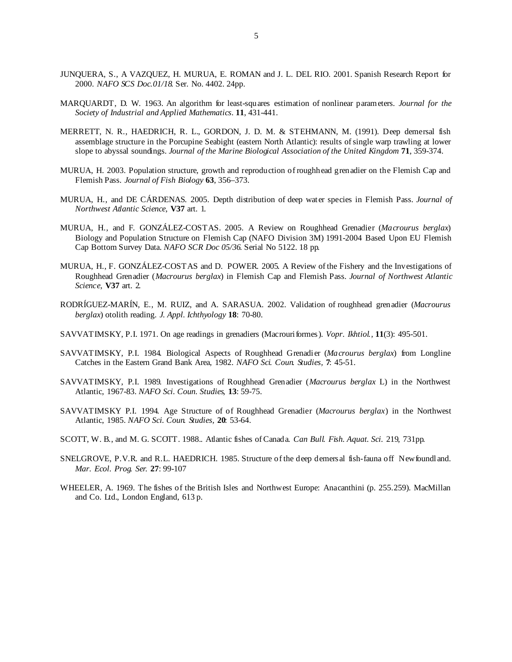- JUNQUERA, S., A VAZQUEZ, H. MURUA, E. ROMAN and J. L. DEL RIO. 2001. Spanish Research Report for 2000. *NAFO SCS Doc.01/18.* Ser. No. 4402. 24pp.
- MARQUARDT, D. W. 1963. An algorithm for least-squares estimation of nonlinear parameters. *Journal for the Society of Industrial and Applied Mathematics*. **11**, 431-441.
- MERRETT, N. R., HAEDRICH, R. L., GORDON, J. D. M. & STEHMANN, M. (1991). Deep demersal fish assemblage structure in the Porcupine Seabight (eastern North Atlantic): results of single warp trawling at lower slope to abyssal soundings. *Journal of the Marine Biological Association of the United Kingdom* **71**, 359-374.
- MURUA, H. 2003. Population structure, growth and reproduction of roughhead grenadier on the Flemish Cap and Flemish Pass. *Journal of Fish Biology* **63**, 356–373.
- MURUA, H., and DE CÁRDENAS. 2005. Depth distribution of deep water species in Flemish Pass. *Journal of Northwest Atlantic Science*, **V37** art. 1.
- MURUA, H., and F. GONZÁLEZ-COSTAS. 2005. A Review on Roughhead Grenadier (*Macrourus berglax*) Biology and Population Structure on Flemish Cap (NAFO Division 3M) 1991-2004 Based Upon EU Flemish Cap Bottom Survey Data. *NAFO SCR Doc 05/36*. Serial No 5122. 18 pp.
- MURUA, H., F. GONZÁLEZ-COSTAS and D. POWER. 2005. A Review of the Fishery and the Investigations of Roughhead Grenadier (*Macrourus berglax*) in Flemish Cap and Flemish Pass. *Journal of Northwest Atlantic Science*, **V37** art. 2.
- RODRÍGUEZ-MARÍN, E., M. RUIZ, and A. SARASUA. 2002. Validation of roughhead grenadier (*Macrourus berglax*) otolith reading. *J. Appl. Ichthyology* **18**: 70-80.
- SAVVATIMSKY, P.I. 1971. On age readings in grenadiers (Macrouriformes). *Vopr. Ikhtiol.,* **11**(3): 495-501.
- SAVVATIMSKY, P.I. 1984. Biological Aspects of Roughhead Grenadier (*Macrourus berglax*) from Longline Catches in the Eastern Grand Bank Area, 1982. *NAFO Sci. Coun. Studies,* **7**: 45-51.
- SAVVATIMSKY, P.I. 1989. Investigations of Roughhead Grenadier (*Macrourus berglax* L) in the Northwest Atlantic, 1967-83. *NAFO Sci. Coun. Studies,* **13**: 59-75.
- SAVVATIMSKY P.I. 1994. Age Structure of of Roughhead Grenadier (*Macrourus berglax*) in the Northwest Atlantic, 1985. *NAFO Sci. Coun. Studies,* **20**: 53-64.
- SCOTT, W. B., and M. G. SCOTT. 1988.. Atlantic fishes of Canada*. Can Bull. Fish. Aquat. Sci.* 219, 731pp.
- SNELGROVE, P.V.R. and R.L. HAEDRICH. 1985. Structure of the deep demersal fish-fauna off Newfoundland. *Mar. Ecol. Prog. Ser.* **27**: 99-107
- WHEELER, A. 1969. The fishes of the British Isles and Northwest Europe: Anacanthini (p. 255.259). MacMillan and Co. Ltd., London England, 613 p.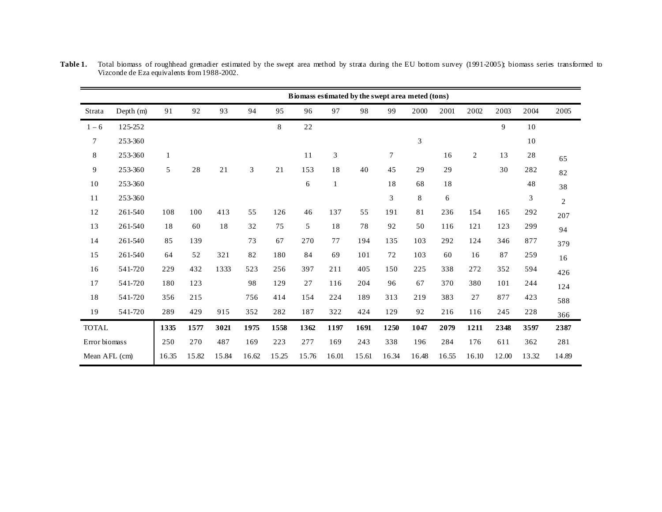|               |           |              |       |       |       |       |             |                             |       | Biomass estimated by the swept area meted (tons) |       |       |       |       |       |                |
|---------------|-----------|--------------|-------|-------|-------|-------|-------------|-----------------------------|-------|--------------------------------------------------|-------|-------|-------|-------|-------|----------------|
| Strata        | Depth (m) | 91           | 92    | 93    | 94    | 95    | 96          | 97                          | 98    | 99                                               | 2000  | 2001  | 2002  | 2003  | 2004  | 2005           |
| $1 - 6$       | 125-252   |              |       |       |       | 8     | $2\sqrt{2}$ |                             |       |                                                  |       |       |       | 9     | 10    |                |
| $\tau$        | 253-360   |              |       |       |       |       |             |                             |       |                                                  | 3     |       |       |       | 10    |                |
| 8             | 253-360   | $\mathbf{1}$ |       |       |       |       | 11          | $\ensuremath{\mathfrak{Z}}$ |       | $\tau$                                           |       | 16    | 2     | 13    | 28    | 65             |
| 9             | 253-360   | 5            | 28    | 21    | 3     | 21    | 153         | 18                          | 40    | 45                                               | 29    | 29    |       | 30    | 282   | 82             |
| 10            | 253-360   |              |       |       |       |       | 6           | $\mathbf{1}$                |       | 18                                               | 68    | 18    |       |       | 48    | 38             |
| 11            | 253-360   |              |       |       |       |       |             |                             |       | 3                                                | 8     | 6     |       |       | 3     | $\overline{2}$ |
| 12            | 261-540   | 108          | 100   | 413   | 55    | 126   | 46          | 137                         | 55    | 191                                              | 81    | 236   | 154   | 165   | 292   | 207            |
| 13            | 261-540   | 18           | 60    | 18    | 32    | 75    | 5           | 18                          | 78    | 92                                               | 50    | 116   | 121   | 123   | 299   | 94             |
| 14            | 261-540   | 85           | 139   |       | 73    | 67    | 270         | 77                          | 194   | 135                                              | 103   | 292   | 124   | 346   | 877   | 379            |
| 15            | 261-540   | 64           | 52    | 321   | 82    | 180   | 84          | 69                          | 101   | 72                                               | 103   | 60    | 16    | 87    | 259   | 16             |
| 16            | 541-720   | 229          | 432   | 1333  | 523   | 256   | 397         | 211                         | 405   | 150                                              | 225   | 338   | 272   | 352   | 594   | 426            |
| 17            | 541-720   | 180          | 123   |       | 98    | 129   | 27          | 116                         | 204   | 96                                               | 67    | 370   | 380   | 101   | 244   | 124            |
| 18            | 541-720   | 356          | 215   |       | 756   | 414   | 154         | 224                         | 189   | 313                                              | 219   | 383   | 27    | 877   | 423   | 588            |
| 19            | 541-720   | 289          | 429   | 915   | 352   | 282   | 187         | 322                         | 424   | 129                                              | 92    | 216   | 116   | 245   | 228   | 366            |
| <b>TOTAL</b>  |           | 1335         | 1577  | 3021  | 1975  | 1558  | 1362        | 1197                        | 1691  | 1250                                             | 1047  | 2079  | 1211  | 2348  | 3597  | 2387           |
| Error biomass |           | 250          | 270   | 487   | 169   | 223   | 277         | 169                         | 243   | 338                                              | 196   | 284   | 176   | 611   | 362   | 281            |
| Mean AFL (cm) |           | 16.35        | 15.82 | 15.84 | 16.62 | 15.25 | 15.76       | 16.01                       | 15.61 | 16.34                                            | 16.48 | 16.55 | 16.10 | 12.00 | 13.32 | 14.89          |

**Table 1.** Total biomass of roughhead grenadier estimated by the swept area method by strata during the EU bottom survey (1991-2005); biomass series transformed to Vizconde de Eza equivalents from 1988-2002.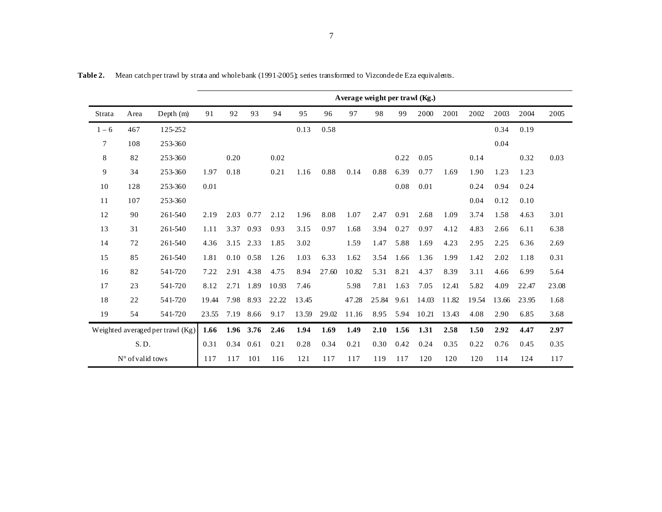|         |                  |                                  | Average weight per trawl (Kg.) |      |           |       |       |       |       |       |      |       |       |       |       |       |       |
|---------|------------------|----------------------------------|--------------------------------|------|-----------|-------|-------|-------|-------|-------|------|-------|-------|-------|-------|-------|-------|
| Strata  | Area             | Depth $(m)$                      | 91                             | 92   | 93        | 94    | 95    | 96    | 97    | 98    | 99   | 2000  | 2001  | 2002  | 2003  | 2004  | 2005  |
| $1 - 6$ | 467              | 125-252                          |                                |      |           |       | 0.13  | 0.58  |       |       |      |       |       |       | 0.34  | 0.19  |       |
| 7       | 108              | 253-360                          |                                |      |           |       |       |       |       |       |      |       |       |       | 0.04  |       |       |
| 8       | 82               | 253-360                          |                                | 0.20 |           | 0.02  |       |       |       |       | 0.22 | 0.05  |       | 0.14  |       | 0.32  | 0.03  |
| 9       | 34               | 253-360                          | 1.97                           | 0.18 |           | 0.21  | 1.16  | 0.88  | 0.14  | 0.88  | 6.39 | 0.77  | 1.69  | 1.90  | 1.23  | 1.23  |       |
| 10      | 128              | 253-360                          | 0.01                           |      |           |       |       |       |       |       | 0.08 | 0.01  |       | 0.24  | 0.94  | 0.24  |       |
| 11      | 107              | 253-360                          |                                |      |           |       |       |       |       |       |      |       |       | 0.04  | 0.12  | 0.10  |       |
| 12      | 90               | 261-540                          | 2.19                           | 2.03 | 0.77      | 2.12  | 1.96  | 8.08  | 1.07  | 2.47  | 0.91 | 2.68  | 1.09  | 3.74  | 1.58  | 4.63  | 3.01  |
| 13      | 31               | 261-540                          | 1.11                           | 3.37 | 0.93      | 0.93  | 3.15  | 0.97  | 1.68  | 3.94  | 0.27 | 0.97  | 4.12  | 4.83  | 2.66  | 6.11  | 6.38  |
| 14      | 72               | 261-540                          | 4.36                           | 3.15 | 2.33      | 1.85  | 3.02  |       | 1.59  | 1.47  | 5.88 | 1.69  | 4.23  | 2.95  | 2.25  | 6.36  | 2.69  |
| 15      | 85               | 261-540                          | 1.81                           | 0.10 | 0.58      | 1.26  | 1.03  | 6.33  | 1.62  | 3.54  | 1.66 | 1.36  | 1.99  | 1.42  | 2.02  | 1.18  | 0.31  |
| 16      | 82               | 541-720                          | 7.22                           | 2.91 | 4.38      | 4.75  | 8.94  | 27.60 | 10.82 | 5.31  | 8.21 | 4.37  | 8.39  | 3.11  | 4.66  | 6.99  | 5.64  |
| 17      | 23               | 541-720                          | 8.12                           | 2.71 | 1.89      | 10.93 | 7.46  |       | 5.98  | 7.81  | 1.63 | 7.05  | 12.41 | 5.82  | 4.09  | 22.47 | 23.08 |
| 18      | 22               | 541-720                          | 19.44                          | 7.98 | 8.93      | 22.22 | 13.45 |       | 47.28 | 25.84 | 9.61 | 14.03 | 11.82 | 19.54 | 13.66 | 23.95 | 1.68  |
| 19      | 54               | 541-720                          | 23.55                          | 7.19 | 8.66      | 9.17  | 13.59 | 29.02 | 11.16 | 8.95  | 5.94 | 10.21 | 13.43 | 4.08  | 2.90  | 6.85  | 3.68  |
|         |                  | Weighted averaged per trawl (Kg) | 1.66                           |      | 1.96 3.76 | 2.46  | 1.94  | 1.69  | 1.49  | 2.10  | 1.56 | 1.31  | 2.58  | 1.50  | 2.92  | 4.47  | 2.97  |
|         | S.D.             |                                  | 0.31                           | 0.34 | 0.61      | 0.21  | 0.28  | 0.34  | 0.21  | 0.30  | 0.42 | 0.24  | 0.35  | 0.22  | 0.76  | 0.45  | 0.35  |
|         | N° of valid tows |                                  | 117                            | 117  | 101       | 116   | 121   | 117   | 117   | 119   | 117  | 120   | 120   | 120   | 114   | 124   | 117   |

**Table 2.** Mean catch per trawl by strata and whole bank (1991-2005); series transformed to Vizconde de Eza equivalents.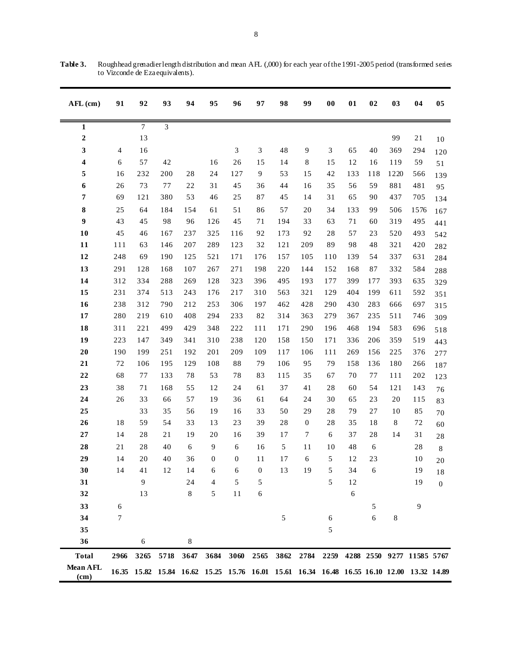| AFL (cm)         | 91             | 92     | 93             | 94         | 95               | 96                          | 97             | 98         | 99                                                                                        | 00   | 01     | 02         | 03      | 04                        | 05               |
|------------------|----------------|--------|----------------|------------|------------------|-----------------------------|----------------|------------|-------------------------------------------------------------------------------------------|------|--------|------------|---------|---------------------------|------------------|
| $\mathbf{1}$     |                | $\tau$ | $\mathfrak{Z}$ |            |                  |                             |                |            |                                                                                           |      |        |            |         |                           |                  |
| $\boldsymbol{2}$ |                | 13     |                |            |                  |                             |                |            |                                                                                           |      |        |            | 99      | 21                        | $10\,$           |
| 3                | $\overline{4}$ | 16     |                |            |                  | $\boldsymbol{\mathfrak{Z}}$ | $\mathfrak{Z}$ | 48         | 9                                                                                         | 3    | 65     | 40         | 369     | 294                       | 120              |
| 4                | $\sqrt{6}$     | 57     | 42             |            | 16               | 26                          | 15             | 14         | $\,8\,$                                                                                   | 15   | $12\,$ | 16         | 119     | 59                        | 51               |
| 5                | 16             | 232    | 200            | 28         | 24               | 127                         | 9              | 53         | 15                                                                                        | 42   | 133    | 118        | 1220    | 566                       | 139              |
| 6                | 26             | 73     | 77             | 22         | 31               | 45                          | 36             | 44         | 16                                                                                        | 35   | 56     | 59         | 881     | 481                       | 95               |
| 7                | 69             | 121    | 380            | 53         | 46               | 25                          | 87             | 45         | 14                                                                                        | 31   | 65     | 90         | 437     | 705                       | 134              |
| 8                | 25             | 64     | 184            | 154        | 61               | 51                          | 86             | 57         | 20                                                                                        | 34   | 133    | 99         | 506     | 1576                      | 167              |
| 9                | 43             | 45     | 98             | 96         | 126              | 45                          | 71             | 194        | 33                                                                                        | 63   | 71     | 60         | 319     | 495                       | 441              |
| 10               | 45             | 46     | 167            | 237        | 325              | 116                         | 92             | 173        | 92                                                                                        | 28   | 57     | 23         | 520     | 493                       | 542              |
| 11               | 111            | 63     | 146            | 207        | 289              | 123                         | 32             | 121        | 209                                                                                       | 89   | 98     | 48         | 321     | 420                       | 282              |
| 12               | 248            | 69     | 190            | 125        | 521              | 171                         | 176            | 157        | 105                                                                                       | 110  | 139    | 54         | 337     | 631                       | 284              |
| 13               | 291            | 128    | 168            | 107        | 267              | 271                         | 198            | 220        | 144                                                                                       | 152  | 168    | 87         | 332     | 584                       | 288              |
| 14               | 312            | 334    | 288            | 269        | 128              | 323                         | 396            | 495        | 193                                                                                       | 177  | 399    | 177        | 393     | 635                       | 329              |
| 15               | 231            | 374    | 513            | 243        | 176              | 217                         | 310            | 563        | 321                                                                                       | 129  | 404    | 199        | 611     | 592                       | 351              |
| 16               | 238            | 312    | 790            | 212        | 253              | 306                         | 197            | 462        | 428                                                                                       | 290  | 430    | 283        | 666     | 697                       | 315              |
| 17               | 280            | 219    | 610            | 408        | 294              | 233                         | $82\,$         | 314        | 363                                                                                       | 279  | 367    | 235        | 511     | 746                       | 309              |
| 18               | 311            | 221    | 499            | 429        | 348              | 222                         | 111            | 171        | 290                                                                                       | 196  | 468    | 194        | 583     | 696                       | 518              |
| 19               | 223            | 147    | 349            | 341        | 310              | 238                         | 120            | 158        | 150                                                                                       | 171  | 336    | 206        | 359     | 519                       | 443              |
| $20\,$           | 190            | 199    | 251            | 192        | 201              | 209                         | 109            | 117        | 106                                                                                       | 111  | 269    | 156        | 225     | 376                       | 277              |
| 21               | $72\,$         | 106    | 195            | 129        | 108              | $8\,$                       | 79             | 106        | 95                                                                                        | 79   | 158    | 136        | 180     | 266                       | 187              |
| $\bf{22}$        | 68             | 77     | 133            | 78         | 53               | 78                          | 83             | 115        | 35                                                                                        | 67   | 70     | 77         | 111     | 202                       | 123              |
| 23               | 38             | 71     | 168            | 55         | 12               | 24                          | 61             | 37         | 41                                                                                        | 28   | 60     | 54         | 121     | 143                       | 76               |
| 24               | 26             | 33     | 66             | 57         | 19               | 36                          | 61             | 64         | 24                                                                                        | 30   | 65     | 23         | 20      | 115                       | 83               |
| 25               |                | 33     | 35             | 56         | 19               | 16                          | 33             | 50         | 29                                                                                        | 28   | 79     | $27\,$     | 10      | 85                        | $70\,$           |
| 26               | 18             | 59     | 54             | 33         | 13               | 23                          | 39             | 28         | $\mathbf{0}$                                                                              | 28   | 35     | 18         | $\,8\,$ | 72                        | 60               |
| $\bf 27$         | 14             | 28     | 21             | 19         | 20               | 16                          | 39             | 17         | $\tau$                                                                                    | 6    | 37     | 28         | 14      | 31                        | $2\sqrt{8}$      |
| 28               | 21             | 28     | 40             | $\sqrt{6}$ | $\overline{9}$   | $\sqrt{6}$                  | 16             | 5          | 11                                                                                        | 10   | 48     | $\sqrt{6}$ |         | $2\sqrt{8}$               | $\,8\,$          |
| 29               | 14             | 20     | 40             | 36         | $\boldsymbol{0}$ | $\boldsymbol{0}$            | 11             | 17         | 6                                                                                         | 5    | 12     | 23         |         | 10                        | 20               |
| 30               | 14             | 41     | 12             | 14         | 6                | 6                           | 0              | 13         | 19                                                                                        | 5    | 34     | 6          |         | 19                        | 18               |
| 31               |                | 9      |                | 24         | $\overline{4}$   | 5                           | 5              |            |                                                                                           | 5    | 12     |            |         | 19                        | $\boldsymbol{0}$ |
| 32               |                | 13     |                | 8          | 5                | $1\,1$                      | 6              |            |                                                                                           |      | 6      |            |         |                           |                  |
| 33               | 6              |        |                |            |                  |                             |                |            |                                                                                           |      |        | 5          |         | 9                         |                  |
| 34               | 7              |        |                |            |                  |                             |                | $\sqrt{5}$ |                                                                                           | 6    |        | 6          | $\bf 8$ |                           |                  |
| 35               |                |        |                |            |                  |                             |                |            |                                                                                           | 5    |        |            |         |                           |                  |
| 36               |                | 6      |                | 8          |                  |                             |                |            |                                                                                           |      |        |            |         |                           |                  |
| <b>Total</b>     | 2966           | 3265   | 5718           | 3647       | 3684             | 3060                        | 2565           | 3862       | 2784                                                                                      | 2259 |        |            |         | 4288 2550 9277 11585 5767 |                  |
| Mean AFL<br>(cm) |                |        |                |            |                  |                             |                |            | 16.35 15.82 15.84 16.62 15.25 15.76 16.01 15.61 16.34 16.48 16.55 16.10 12.00 13.32 14.89 |      |        |            |         |                           |                  |

**Table 3.** Roughhead grenadier length distribution and mean AFL (,000) for each year of the 1991-2005 period (transformed series to Vizconde de Eza equivalents).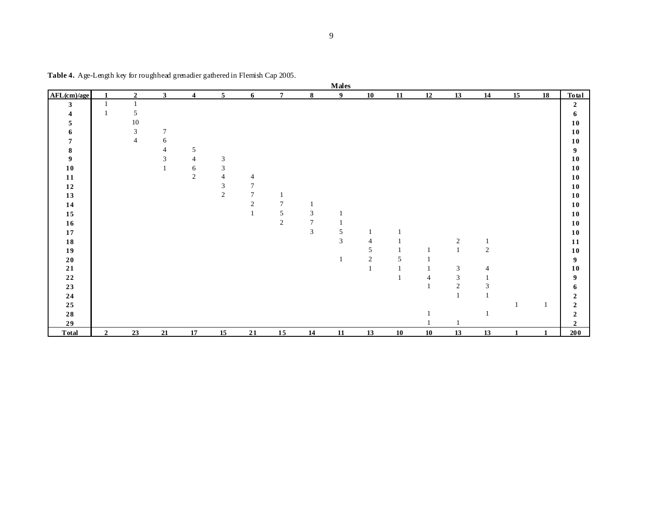|                  |                |                |                |                         |                |                |                |                             | <b>Males</b>     |                |    |    |                |                |              |    |                  |
|------------------|----------------|----------------|----------------|-------------------------|----------------|----------------|----------------|-----------------------------|------------------|----------------|----|----|----------------|----------------|--------------|----|------------------|
| AFL(cm)/age      | $\mathbf{1}$   | $\mathbf{2}$   | $\mathbf{3}$   | $\overline{\mathbf{4}}$ | 5 <sup>5</sup> | 6              | 7 <sup>7</sup> | $\bf{8}$                    | $\boldsymbol{9}$ | 10             | 11 | 12 | 13             | 14             | 15           | 18 | Total            |
| $\mathbf{3}$     | $\mathbf{1}$   | $\mathbf{1}$   |                |                         |                |                |                |                             |                  |                |    |    |                |                |              |    | $\boldsymbol{2}$ |
| 4                | 1              | 5              |                |                         |                |                |                |                             |                  |                |    |    |                |                |              |    | 6                |
| 5                |                | 10             |                |                         |                |                |                |                             |                  |                |    |    |                |                |              |    | 10               |
| 6                |                | $\mathfrak{Z}$ | $\overline{7}$ |                         |                |                |                |                             |                  |                |    |    |                |                |              |    | 10               |
| 7                |                | $\overline{4}$ | 6              |                         |                |                |                |                             |                  |                |    |    |                |                |              |    | 10               |
| 8                |                |                | $\overline{4}$ | 5                       |                |                |                |                             |                  |                |    |    |                |                |              |    | 9                |
| $\boldsymbol{9}$ |                |                | 3              | 4                       | $\mathfrak{Z}$ |                |                |                             |                  |                |    |    |                |                |              |    | 10               |
| ${\bf 10}$       |                |                | 1              | 6                       | 3              |                |                |                             |                  |                |    |    |                |                |              |    | 10               |
| 11               |                |                |                | $\sqrt{2}$              | 4              | 4              |                |                             |                  |                |    |    |                |                |              |    | 10               |
| $\bf{12}$        |                |                |                |                         | $\mathfrak{Z}$ | 7              |                |                             |                  |                |    |    |                |                |              |    | 10               |
| 13               |                |                |                |                         | $\overline{2}$ | $\overline{7}$ |                |                             |                  |                |    |    |                |                |              |    | 10               |
| 14               |                |                |                |                         |                | $\overline{c}$ | $\overline{7}$ |                             |                  |                |    |    |                |                |              |    | 10               |
| 15               |                |                |                |                         |                | 1              | $\sqrt{5}$     | $\ensuremath{\mathfrak{Z}}$ |                  |                |    |    |                |                |              |    | $10$             |
| ${\bf 16}$       |                |                |                |                         |                |                | $\overline{c}$ | $\overline{7}$              |                  |                |    |    |                |                |              |    | 10               |
| ${\bf 17}$       |                |                |                |                         |                |                |                | $\mathfrak{Z}$              | 5                | 1              |    |    |                |                |              |    | 10               |
| ${\bf 18}$       |                |                |                |                         |                |                |                |                             | $\mathfrak{Z}$   | $\overline{4}$ |    |    | $\overline{c}$ |                |              |    | 11               |
| 19               |                |                |                |                         |                |                |                |                             |                  | 5              |    |    | $\mathbf{1}$   | $\overline{2}$ |              |    | 10               |
| ${\bf 20}$       |                |                |                |                         |                |                |                |                             |                  | $\overline{c}$ | 5  |    |                |                |              |    | 9                |
| $\bf 21$         |                |                |                |                         |                |                |                |                             |                  |                |    |    | $\sqrt{3}$     |                |              |    | 10               |
| $\bf 22$         |                |                |                |                         |                |                |                |                             |                  |                |    | 4  | $\mathfrak{Z}$ |                |              |    | 9                |
| 23               |                |                |                |                         |                |                |                |                             |                  |                |    |    | $\sqrt{2}$     | 3              |              |    | 6                |
| ${\bf 24}$       |                |                |                |                         |                |                |                |                             |                  |                |    |    | $\mathbf{1}$   |                |              |    | $\boldsymbol{2}$ |
| 25               |                |                |                |                         |                |                |                |                             |                  |                |    |    |                |                |              |    | $\boldsymbol{2}$ |
| ${\bf 28}$       |                |                |                |                         |                |                |                |                             |                  |                |    |    |                |                |              |    | $\mathbf{2}$     |
| 29               |                |                |                |                         |                |                |                |                             |                  |                |    |    |                |                |              |    | $\mathbf{2}$     |
| <b>Total</b>     | $\overline{2}$ | 23             | 21             | 17                      | 15             | 21             | 15             | 14                          | 11               | 13             | 10 | 10 | 13             | 13             | $\mathbf{1}$ | 1  | 200              |

**Table 4.** Age-Length key for roughhead grenadier gathered in Flemish Cap 2005.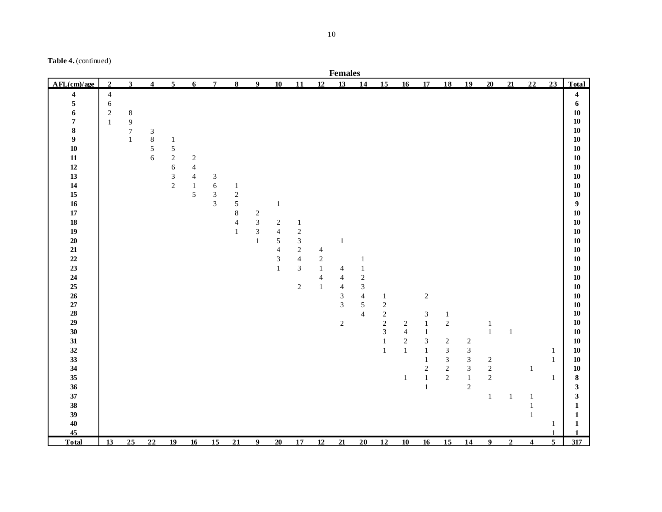|                  |                |                  |                             |                |                 |                |                |                |                         |                |                | <b>Females</b> |                |                                       |                     |                             |                              |                              |                                            |                |                         |                              |                         |
|------------------|----------------|------------------|-----------------------------|----------------|-----------------|----------------|----------------|----------------|-------------------------|----------------|----------------|----------------|----------------|---------------------------------------|---------------------|-----------------------------|------------------------------|------------------------------|--------------------------------------------|----------------|-------------------------|------------------------------|-------------------------|
| AFL(cm)/age      | $\overline{2}$ | $\mathbf{3}$     | $\overline{\mathbf{4}}$     | 5 <sup>1</sup> | $6\overline{6}$ | $\overline{7}$ | 8              | 9 <sup>1</sup> | 10                      | 11             | 12             | 13             | 14             | 15                                    | 16                  | 17                          | 18                           | 19                           | 20                                         | 21             | 22                      | 23                           | Total                   |
| 4                | $\sqrt{4}$     |                  |                             |                |                 |                |                |                |                         |                |                |                |                |                                       |                     |                             |                              |                              |                                            |                |                         |                              | $\overline{\mathbf{4}}$ |
| 5                | $\sqrt{6}$     |                  |                             |                |                 |                |                |                |                         |                |                |                |                |                                       |                     |                             |                              |                              |                                            |                |                         |                              | 6                       |
| 6                | $\sqrt{2}$     | $\,8\,$          |                             |                |                 |                |                |                |                         |                |                |                |                |                                       |                     |                             |                              |                              |                                            |                |                         |                              | 10                      |
| 7                | $\mathbf 1$    | $\boldsymbol{9}$ |                             |                |                 |                |                |                |                         |                |                |                |                |                                       |                     |                             |                              |                              |                                            |                |                         |                              | ${\bf 10}$              |
| 8                |                | $\boldsymbol{7}$ | $\ensuremath{\mathfrak{Z}}$ |                |                 |                |                |                |                         |                |                |                |                |                                       |                     |                             |                              |                              |                                            |                |                         |                              | 10                      |
| $\boldsymbol{9}$ |                | $\mathbf{1}$     | $\,8\,$                     | $\mathbf{1}$   |                 |                |                |                |                         |                |                |                |                |                                       |                     |                             |                              |                              |                                            |                |                         |                              | 10                      |
| 10               |                |                  | $\sqrt{5}$                  | $\sqrt{5}$     |                 |                |                |                |                         |                |                |                |                |                                       |                     |                             |                              |                              |                                            |                |                         |                              | 10                      |
| ${\bf 11}$       |                |                  | $\sqrt{6}$                  | $\overline{2}$ | $\sqrt{2}$      |                |                |                |                         |                |                |                |                |                                       |                     |                             |                              |                              |                                            |                |                         |                              | 10                      |
| $12\,$           |                |                  |                             | $\sqrt{6}$     | $\overline{4}$  |                |                |                |                         |                |                |                |                |                                       |                     |                             |                              |                              |                                            |                |                         |                              | 10                      |
| 13               |                |                  |                             | $\sqrt{3}$     | $\overline{4}$  | $\sqrt{3}$     |                |                |                         |                |                |                |                |                                       |                     |                             |                              |                              |                                            |                |                         |                              | 10                      |
| $14\,$           |                |                  |                             | $\mathbf 2$    | $\mathbf{1}$    | $\sqrt{6}$     | $\mathbf{1}$   |                |                         |                |                |                |                |                                       |                     |                             |                              |                              |                                            |                |                         |                              | 10                      |
| $15\,$           |                |                  |                             |                | 5               | $\mathfrak{Z}$ | $\sqrt{2}$     |                |                         |                |                |                |                |                                       |                     |                             |                              |                              |                                            |                |                         |                              | 10                      |
| 16               |                |                  |                             |                |                 | $\overline{3}$ | $\sqrt{5}$     |                | $\mathbf{1}$            |                |                |                |                |                                       |                     |                             |                              |                              |                                            |                |                         |                              | $\boldsymbol{9}$        |
| $17\,$           |                |                  |                             |                |                 |                | $\,8\,$        | $\sqrt{2}$     |                         |                |                |                |                |                                       |                     |                             |                              |                              |                                            |                |                         |                              | 10                      |
| ${\bf 18}$       |                |                  |                             |                |                 |                | $\overline{4}$ | $\overline{3}$ | $\sqrt{2}$              | $\mathbf{1}$   |                |                |                |                                       |                     |                             |                              |                              |                                            |                |                         |                              | 10                      |
| 19               |                |                  |                             |                |                 |                | 1              | $\sqrt{3}$     | $\overline{4}$          | $\sqrt{2}$     |                |                |                |                                       |                     |                             |                              |                              |                                            |                |                         |                              | 10                      |
| ${\bf 20}$       |                |                  |                             |                |                 |                |                | $\mathbf{1}$   | $\sqrt{5}$              | $\mathfrak{Z}$ |                | $\mathbf{1}$   |                |                                       |                     |                             |                              |                              |                                            |                |                         |                              | 10                      |
| ${\bf 21}$       |                |                  |                             |                |                 |                |                |                | $\overline{\mathbf{4}}$ | $\sqrt{2}$     | $\overline{4}$ |                |                |                                       |                     |                             |                              |                              |                                            |                |                         |                              | 10                      |
| $22\,$           |                |                  |                             |                |                 |                |                |                | 3                       | $\overline{4}$ | $\sqrt{2}$     |                | -1             |                                       |                     |                             |                              |                              |                                            |                |                         |                              | 10                      |
| 23               |                |                  |                             |                |                 |                |                |                | $\mathbf{1}$            | $\mathfrak{Z}$ | $\mathbf{1}$   | $\overline{4}$ | $\mathbf{1}$   |                                       |                     |                             |                              |                              |                                            |                |                         |                              | 10                      |
| 24               |                |                  |                             |                |                 |                |                |                |                         |                | $\overline{4}$ | $\overline{4}$ | $\sqrt{2}$     |                                       |                     |                             |                              |                              |                                            |                |                         |                              | 10                      |
| 25               |                |                  |                             |                |                 |                |                |                |                         | $\sqrt{2}$     | $\mathbf{1}$   | $\overline{4}$ | $\overline{3}$ |                                       |                     |                             |                              |                              |                                            |                |                         |                              | ${\bf 10}$              |
| 26               |                |                  |                             |                |                 |                |                |                |                         |                |                | $\mathfrak{Z}$ | $\overline{4}$ | $\mathbf{1}$                          |                     | $\sqrt{2}$                  |                              |                              |                                            |                |                         |                              | 10                      |
| $27\,$           |                |                  |                             |                |                 |                |                |                |                         |                |                | $\mathfrak{Z}$ | 5              | $\overline{c}$                        |                     |                             |                              |                              |                                            |                |                         |                              | 10                      |
| 28               |                |                  |                             |                |                 |                |                |                |                         |                |                |                | $\overline{4}$ | $\begin{array}{c} 2 \\ 2 \end{array}$ |                     | $\ensuremath{\mathfrak{Z}}$ | $\mathbf{1}$                 |                              |                                            |                |                         |                              | 10                      |
| 29               |                |                  |                             |                |                 |                |                |                |                         |                |                | $\sqrt{2}$     |                |                                       | $\overline{c}$      | $\mathbf{1}$                | $\sqrt{2}$                   |                              | 1                                          |                |                         |                              | ${\bf 10}$              |
| 30               |                |                  |                             |                |                 |                |                |                |                         |                |                |                |                | $\mathfrak{Z}$<br>$\mathbf{1}$        | $\overline{4}$      | $\mathbf{1}$                |                              |                              | $1\,$                                      | 1              |                         |                              | 10                      |
| 31<br>32         |                |                  |                             |                |                 |                |                |                |                         |                |                |                |                | $\mathbf{1}$                          | $\sqrt{2}$<br>$1\,$ | $\ensuremath{\mathfrak{Z}}$ | $\sqrt{2}$<br>$\mathfrak{Z}$ | $\sqrt{2}$<br>$\mathfrak{Z}$ |                                            |                |                         |                              | ${\bf 10}$<br>10        |
| 33               |                |                  |                             |                |                 |                |                |                |                         |                |                |                |                |                                       |                     | $\mathbf{1}$                | $\mathfrak{Z}$               | $\mathfrak{Z}$               |                                            |                |                         | $\mathbf{1}$<br>$\mathbf{1}$ | 10                      |
| 34               |                |                  |                             |                |                 |                |                |                |                         |                |                |                |                |                                       |                     | $\mathbf{1}$<br>$\sqrt{2}$  | $\sqrt{2}$                   | $\mathfrak{Z}$               | $\begin{smallmatrix}2\\2\end{smallmatrix}$ |                |                         |                              | 10                      |
| 35               |                |                  |                             |                |                 |                |                |                |                         |                |                |                |                |                                       | $\mathbf{1}$        | $\,1\,$                     | $\overline{c}$               | $1\,$                        | $\sqrt{2}$                                 |                | $\mathbf{1}$            | $\mathbf{1}$                 | ${\bf 8}$               |
| 36               |                |                  |                             |                |                 |                |                |                |                         |                |                |                |                |                                       |                     | $\mathbf{1}$                |                              | $\sqrt{2}$                   |                                            |                |                         |                              | $\mathbf{3}$            |
| 37               |                |                  |                             |                |                 |                |                |                |                         |                |                |                |                |                                       |                     |                             |                              |                              | $\,1\,$                                    | $\mathbf{1}$   | $\mathbf{1}$            |                              | $\mathbf{3}$            |
| 38               |                |                  |                             |                |                 |                |                |                |                         |                |                |                |                |                                       |                     |                             |                              |                              |                                            |                | 1                       |                              | $\mathbf{1}$            |
| 39               |                |                  |                             |                |                 |                |                |                |                         |                |                |                |                |                                       |                     |                             |                              |                              |                                            |                | $\mathbf{1}$            |                              | $\mathbf{1}$            |
| 40               |                |                  |                             |                |                 |                |                |                |                         |                |                |                |                |                                       |                     |                             |                              |                              |                                            |                |                         | $\mathbf{1}$                 | $\mathbf{1}$            |
| 45               |                |                  |                             |                |                 |                |                |                |                         |                |                |                |                |                                       |                     |                             |                              |                              |                                            |                |                         |                              |                         |
| <b>Total</b>     | 13             | $25\overline{)}$ | 22                          | 19             | 16              | 15             | 21             | 9              | 20                      | 17             | 12             | 21             | 20             | 12                                    | 10                  | 16                          | 15                           | 14                           | $\boldsymbol{9}$                           | $\overline{2}$ | $\overline{\mathbf{4}}$ | $\overline{5}$               | 317                     |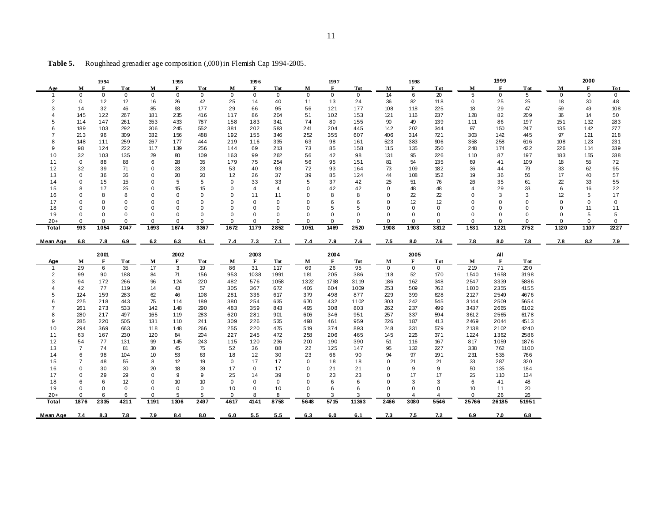|                |                | 1994         |                 |             | 1995        |             |              | 1996        |              |              | 1997        |             |              | 1998        |             |                | 1999         |             |             | 2000        |             |
|----------------|----------------|--------------|-----------------|-------------|-------------|-------------|--------------|-------------|--------------|--------------|-------------|-------------|--------------|-------------|-------------|----------------|--------------|-------------|-------------|-------------|-------------|
| Age            | M              | F            | <b>T</b> ot     | М           | F           | <b>T</b> ot | М            | F           | <b>Tot</b>   | M            | F           | <b>Tot</b>  | $\mathbf{M}$ | F           | <b>T</b> ot | М              | F            | <b>T</b> ot | M           | F           | Tot         |
| $\mathbf{1}$   | $\Omega$       | $\mathbf{0}$ | $\mathbf 0$     | $\mathbf 0$ | $\mathbf 0$ | $\mathbf 0$ | $\mathbf 0$  | $\mathbf 0$ | $\mathbf{0}$ | $\mathbf 0$  | $\mathbf 0$ | $\mathbf 0$ | 14           | 6           | 20          | 5              | $\mathbf 0$  | 5           | $\mathbf 0$ | $\mathbf 0$ | $\mathbf 0$ |
| $\overline{2}$ | $\mathbf 0$    | 12           | 12 <sup>2</sup> | 16          | 26          | 42          | 25           | 14          | 40           | 11           | 13          | 24          | 36           | 82          | 118         | 0              | 25           | 25          | 18          | 30          | 48          |
| 3              | 14             | 32           | 46              | 85          | 93          | 177         | 29           | 66          | 95           | 56           | 121         | 177         | 108          | 118         | 225         | 18             | 29           | 47          | 59          | 49          | 108         |
| 4              | 145            | 122          | 267             | 181         | 235         | 416         | 117          | 86          | 204          | 51           | 102         | 153         | 121          | 116         | 237         | 128            | 82           | 209         | 36          | 14          | 50          |
| 5              | 114            | 147          | 261             | 353         | 433         | 787         | 158          | 183         | 341          | 74           | 80          | 155         | 90           | 49          | 139         | 111            | 86           | 197         | 151         | 132         | 283         |
| 6              | 189            | 103          | 292             | 306         | 245         | 552         | 381          | 202         | 583          | 241          | 204         | 445         | 142          | 202         | 344         | 97             | 150          | 247         | 135         | 142         | 277         |
| $\overline{7}$ | 213            | 96           | 309             | 332         | 156         | 488         | 192          | 155         | 346          | 252          | 355         | 607         | 406          | 314         | 721         | 303            | 142          | 445         | 97          | 121         | 218         |
| 8              | 148            | 111          | 259             | 267         | 177         | 444         | 219          | 116         | 335          | 63           | 98          | 161         | 523          | 383         | 906         | 358            | 258          | 616         | 108         | 123         | 231         |
| <sub>9</sub>   | 98             | 124          | 222             | 117         | 139         | 256         | 144          | 69          | 213          | 73           | 85          | 158         | 115          | 135         | 250         | 248            | 174          | 422         | 226         | 114         | 339         |
| 10             | 32             | 103          | 135             | 29          | 80          | 109         | 163          | 99          | 262          | 56           | 42          | 98          | 131          | 95          | 226         | 110            | 87           | 197         | 183         | 155         | 338         |
| 11             | 0              | 88           | 88              | 6           | 28          | 35          | 179          | 75          | 254          | 56           | 95          | 151         | 81           | 54          | 135         | 69             | 41           | 109         | 18          | 55          | 72          |
| 12             | 32             | 39           | 71              | 0           | 23          | 23          | 53           | 40          | 93           | 72           | 93          | 164         | 73           | 109         | 182         | 36             | 44           | 79          | 33          | 62          | 95          |
| 13             | $\Omega$       | 36           | 36              | $\mathbf 0$ | 20          | 20          | 12           | 26          | 37           | 39           | 85          | 124         | 44           | 108         | 152         | 19             | 36           | 56          | 17          | 40          | 57          |
| 14             | 0              | 15           | 15              | $\Omega$    | 5           | 5           | $\mathbf 0$  | 33          | 33           | 5            | 37          | 42          | 25           | 51          | 76          | 26             | 35           | 61          | 22          | 33          | 55          |
| 15             | 8              | 17           | 25              | $\mathbf 0$ | 15          | 15          | $\Omega$     | 4           | 4            | $\Omega$     | 42          | 42          | $\Omega$     | 48          | 48          | $\overline{4}$ | 29           | 33          | 6           | 16          | 22          |
| 16             | $\Omega$       | 8            | 8               | $\Omega$    | $\Omega$    | $\Omega$    | $\Omega$     | 11          | 11           | 0            | 8           | 8           | $\Omega$     | 22          | 22          | $\Omega$       | 3            | 3           | 12          | 5           | 17          |
| 17             | $\Omega$       | $\Omega$     | $\Omega$        | $\Omega$    | $\Omega$    |             | $\Omega$     | 0           | 0            |              | 6           | 6           |              | 12          | 12          | O              | 0            | $\Omega$    | $\Omega$    | $\Omega$    | 0           |
| 18             | $\Omega$       | 0            |                 | $\Omega$    | 0           |             | 0            | 0           | 0            |              | 5           | 5           |              | 0           | 0           | O              | 0            | 0           | $\Omega$    | 11          | 11          |
| 19             | $\Omega$       | 0            | $\Omega$        | $\Omega$    | $\Omega$    | $\Omega$    | $\mathbf 0$  | 0           | 0            | $\Omega$     | $\Omega$    | $\Omega$    | $\Omega$     | $\Omega$    | $\mathbf 0$ | $\Omega$       | 0            | $\Omega$    | $\Omega$    | 5           | 5           |
| $20+$          | $\Omega$       | $\Omega$     | $\Omega$        | $\Omega$    | $\Omega$    | $\Omega$    | $\Omega$     | $\Omega$    | $\Omega$     | $\Omega$     | $\Omega$    | $\mathbf 0$ | $\Omega$     | $\Omega$    | $\Omega$    | $\Omega$       | $\Omega$     | $\Omega$    | $\Omega$    | $\Omega$    | $\Omega$    |
| Total          | 993            | 1054         | 2047            | 1693        | 1674        | 3367        | 1672         | 1179        | 2852         | 1051         | 1469        | 2520        | 1908         | 1903        | 3812        | 1531           | 1221         | 2752        | 1120        | 1107        | 2227        |
| Mean Age       | 6.8            | 7.8          | 6.9             | 6.2         | 6.3         | 6.1         | 7.4          | 7.3         | 7.1          | 7.4          | 7.9         | 7.6         | 7.5          | 8.0         | 7.6         | 7.8            | 8.0          | 7.8         | 7.8         | 8.2         | 7.9         |
|                |                |              |                 |             |             |             |              |             |              |              |             |             |              |             |             |                |              |             |             |             |             |
|                |                |              |                 |             |             |             |              |             |              |              |             |             |              |             |             |                |              |             |             |             |             |
|                |                | 2001         |                 |             | 2002        |             |              | 2003        |              |              | 2004        |             |              | 2005        |             |                | All          |             |             |             |             |
| <u>Age</u>     | М              | $\mathbf{F}$ | <b>Tot</b>      | M           | F           | <b>Tot</b>  | $\mathbf{M}$ | F           | <b>Tot</b>   | $\mathbf{M}$ | F           | <b>Tot</b>  | $\mathbf{M}$ | F           | <b>Tot</b>  | $\mathbf{M}$   | $\mathbf{F}$ | <b>Tot</b>  |             |             |             |
| $\mathbf{1}$   | 29             | 6            | 35              | 17          | 3           | 19          | 86           | 31          | 117          | 69           | 26          | 95          | $\mathbf 0$  | $\mathbf 0$ | $\mathbf 0$ | 219            | 71           | 290         |             |             |             |
| $\overline{2}$ | 99             | 90           | 188             | 84          | 71          | 156         | 953          | 1038        | 1991         | 181          | 205         | 386         | 118          | 52          | 170         | 1540           | 1658         | 3198        |             |             |             |
| 3              | 94             | 172          | 266             | 96          | 124         | 220         | 482          | 576         | 1058         | 1322         | 1798        | 3119        | 186          | 162         | 348         | 2547           | 3339         | 5886        |             |             |             |
|                | 42             | 77           | 119             | 14          | 43          | 57          | 305          | 367         | 672          | 406          | 604         | 1009        | 253          | 509         | 762         | 1800           | 2355         | 4155        |             |             |             |
| 5              | 124            | 159          | 283             | 62          | 46          | 108         | 281          | 336         | 617          | 379          | 498         | 877         | 229          | 399         | 628         | 2127           | 2549         | 4676        |             |             |             |
|                | 225            | 218          | 443             | 75          | 114         | 189         | 380          | 254         | 635          | 670          | 432         | 1102        | 303          | 242         | 545         | 3144           | 2509         | 5654        |             |             |             |
|                | 261            | 273          | 533             | 142         | 148         | 290         | 483          | 359         | 843          | 495          | 308         | 803         | 262          | 237         | 499         | 3437           | 2665         | 6102        |             |             |             |
| 8              | 280            | 217          | 497             | 165         | 119         | 283         | 620          | 281         | 901          | 606          | 346         | 951         | 257          | 337         | 594         | 3612           | 2565         | 6178        |             |             |             |
| 9              | 285            | 220          | 505             | 131         | 110         | 241         | 309          | 226         | 535          | 498          | 461         | 959         | 226          | 187         | 413         | 2469           | 2044         | 4513        |             |             |             |
| 10             | 294            | 369          | 663             | 118         | 148         | 266         | 255          | 220         | 475          | 519          | 374         | 893         | 248          | 331         | 579         | 2138           | 2102         | 4240        |             |             |             |
| 11             | 63             | 167          | 230             | 120         | 84          | 204         | 227          | 245         | 472          | 258          | 206         | 465         | 145          | 226         | 371         | 1224           | 1362         | 2586        |             |             |             |
| 12             | 54             | 77           | 131             | 99          | 145         | 243         | 115          | 120         | 236          | 200          | 190         | 390         | 51           | 116         | 167         | 817            | 1059         | 1876        |             |             |             |
| 13             | $\overline{7}$ | 74           | 81              | 30          | 45          | 75          | 52           | 36          | 88           | 22           | 125         | 147         | 95           | 132         | 227         | 338            | 762          | 1100        |             |             |             |
| 14             | 6              | 98           | 104             | 10          | 53          | 63          | 18           | 12          | 30           | 23           | 66          | 90          | 94           | 97          | 191         | 231            | 535          | 766         |             |             |             |
| 15             | 7              | 48           | 55              | 8           | 12          | 19          | 0            | 17          | 17           | $\mathbf{0}$ | 18          | 18          | 0            | 21          | 21          | 33             | 287          | 320         |             |             |             |
| 16             | 0              | 30           | 30              | 20          | 18          | 39          | 17           | 0           | 17           | 0            | 21          | 21          | 0            | 9           | 9           | 50             | 135          | 184         |             |             |             |
| 17             | $\Omega$       | 29           | 29              | $\Omega$    | 9           | 9           | 25           | 14          | 39           | $\Omega$     | 23          | 23          | $\Omega$     | 17          | 17          | 25             | 110          | 134         |             |             |             |
| 18             | 6              | 6            | 12              | 0           | 10          | 10          | 0            | 0           | 0            | $\Omega$     | 6           | 6           | $\Omega$     | 3           | 3           | 6              | 41           | 48          |             |             |             |
| 19             | $\Omega$       | 0            | $\Omega$        | $\mathbf 0$ | 0           | $\Omega$    | 10           | 0           | 10           | $\Omega$     | 6           | 6           | $\Omega$     | 0           | $\mathbf 0$ | 10             | 11           | 20          |             |             |             |
| $20+$          |                | 6            | 6               | $\Omega$    |             |             | $\Omega$     |             | 8            | $\Omega$     | 3           | 3           | $\mathbf 0$  | 4           |             | $\Omega$       | 26           | 26          |             |             |             |
| Total          | 1876           | 2335         | 4211            | 1191        | 1306        | 2497        | 4617         | 4141        | 8758         | 5648         | 5715        | 11363       | 2466         | 3080        | 5546        | 25766          | 26185        | 51951       |             |             |             |

**Table 5.** Roughhead grenadier age composition (,000) in Flemish Cap 1994-2005.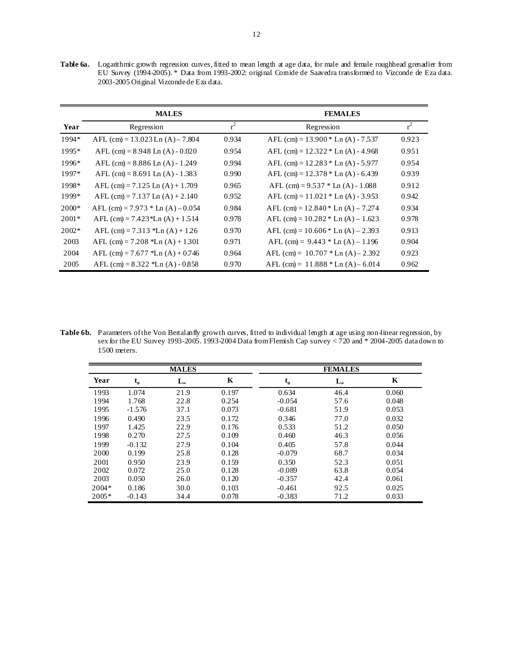Table 6a. Logarithmic growth regression curves, fitted to mean length at age data, for male and female roughhead grenadier from EU Survey (1994-2005). \* Data from 1993-2002: original Cornide de Saavedra transformed to Vizconde de Eza data. 2003-2005 Original Vizconde de Eza data.

|         | <b>MALES</b>                         |       | <b>FEMALES</b>                       |       |
|---------|--------------------------------------|-------|--------------------------------------|-------|
| Year    | Regression                           | $r^2$ | Regression                           | $r^2$ |
| 1994*   | AFL $(cm) = 13.023$ Ln $(A) - 7.804$ | 0.934 | AFL (cm) = $13.900 *$ Ln (A) - 7.537 | 0.923 |
| 1995*   | AFL (cm) = $8.948$ Ln (A) - $0.020$  | 0.954 | AFL (cm) = $12.322 *$ Ln (A) - 4.968 | 0.951 |
| 1996*   | AFL (cm) = $8.886$ Ln (A) - 1.249    | 0.994 | AFL (cm) = $12.283 *$ Ln (A) - 5.977 | 0.954 |
| 1997*   | AFL (cm) = $8.691$ Ln (A) - 1.383    | 0.990 | AFL (cm) = $12.378 *$ Ln (A) - 6.439 | 0.939 |
| 1998*   | AFL (cm) = $7.125$ Ln (A) + $1.709$  | 0.965 | AFL (cm) = $9.537 *$ Ln (A) - 1.088  | 0.912 |
| 1999*   | AFL (cm) = $7.137$ Ln (A) + $2.140$  | 0.952 | AFL $(cm) = 11.021 * Ln (A) - 3.953$ | 0.942 |
| $2000*$ | AFL (cm) = $7.973 *$ Ln (A) $-0.054$ | 0.984 | AFL (cm) = $12.840 *$ Ln (A) – 7.274 | 0.934 |
| $2001*$ | AFL $(cm) = 7.423*Ln(A) + 1.514$     | 0.978 | AFL (cm) = $10.282 *$ Ln (A) – 1.623 | 0.978 |
| $2002*$ | AFL (cm) = $7.313$ *Ln (A) + $126$   | 0.970 | AFL (cm) = $10.606 *$ Ln (A) – 2.393 | 0.913 |
| 2003    | AFL $(cm) = 7.208$ *Ln $(A) + 1.301$ | 0.971 | AFL (cm) = $9.443 *$ Ln (A) – 1.196  | 0.904 |
| 2004    | AFL (cm) = $7.677$ *Ln (A) + 0.746   | 0.964 | AFL (cm) = $10.707$ * Ln (A) – 2.392 | 0.923 |
| 2005    | AFL (cm) = $8.322$ *Ln (A) - 0.858   | 0.970 | AFL (cm) = $11.888 * Ln (A) – 6.014$ | 0.962 |

Table 6b. Parameters of the Von Bertalanffy growth curves, fitted to individual length at age using non-linear regression, by sex for the EU Survey 1993-2005. 1993-2004 Data from Flemish Cap survey < 720 and \* 2004-2005 data down to 1500 meters.

|         |          | <b>MALES</b> |       |                           | <b>FEMALES</b> |       |
|---------|----------|--------------|-------|---------------------------|----------------|-------|
| Year    | $t_{o}$  | $L_{\infty}$ | K     | $\mathbf{t}_{\mathrm{o}}$ | $L_{\infty}$   | K     |
| 1993    | 1.074    | 21.9         | 0.197 | 0.634                     | 46.4           | 0.060 |
| 1994    | 1.768    | 22.8         | 0.254 | $-0.054$                  | 57.6           | 0.048 |
| 1995    | $-1.576$ | 37.1         | 0.073 | $-0.681$                  | 51.9           | 0.053 |
| 1996    | 0.490    | 23.5         | 0.172 | 0.346                     | 77.0           | 0.032 |
| 1997    | 1.425    | 22.9         | 0.176 | 0.533                     | 51.2           | 0.050 |
| 1998    | 0.270    | 27.5         | 0.109 | 0.460                     | 46.3           | 0.056 |
| 1999    | $-0.132$ | 27.9         | 0.104 | 0.405                     | 57.8           | 0.044 |
| 2000    | 0.199    | 25.8         | 0.128 | $-0.079$                  | 68.7           | 0.034 |
| 2001    | 0.950    | 23.9         | 0.159 | 0.350                     | 52.3           | 0.051 |
| 2002    | 0.072    | 25.0         | 0.128 | $-0.089$                  | 63.8           | 0.054 |
| 2003    | 0.050    | 26.0         | 0.120 | $-0.357$                  | 42.4           | 0.061 |
| $2004*$ | 0.186    | 30.0         | 0.103 | $-0.461$                  | 92.5           | 0.025 |
| $2005*$ | $-0.143$ | 34.4         | 0.078 | $-0.383$                  | 71.2           | 0.033 |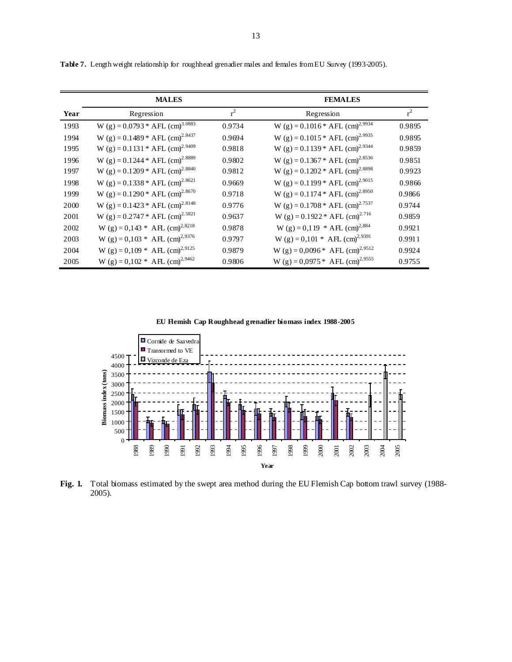|      | <b>MALES</b>                                  |        | <b>FEMALES</b>                                |        |
|------|-----------------------------------------------|--------|-----------------------------------------------|--------|
| Year | Regression                                    | $r^2$  | Regression                                    | $r^2$  |
| 1993 | W (g) = $0.0793 * AFL$ (cm) <sup>3.0883</sup> | 0.9734 | W (g) = $0.1016*$ AFL (cm) <sup>2.9934</sup>  | 0.9895 |
| 1994 | W (g) = $0.1489 * AFL$ (cm) <sup>2.8437</sup> | 0.9694 | W (g) = $0.1015 * AFL$ (cm) <sup>2.9935</sup> | 0.9895 |
| 1995 | W (g) = $0.1131 * AFL$ (cm) <sup>2.9409</sup> | 0.9818 | W (g) = $0.1139 * AFL$ (cm) <sup>2.9344</sup> | 0.9859 |
| 1996 | W (g) = $0.1244 * AFL$ (cm) <sup>2.8889</sup> | 0.9802 | W (g) = $0.1367 * AFL$ (cm) <sup>2.8536</sup> | 0.9851 |
| 1997 | W (g) = $0.1209 * AFL$ (cm) <sup>2.8840</sup> | 0.9812 | W (g) = $0.1202 * AFL$ (cm) <sup>2.8898</sup> | 0.9923 |
| 1998 | W (g) = $0.1338 * AFL$ (cm) <sup>2.8621</sup> | 0.9669 | W (g) = $0.1199 * AFL$ (cm) <sup>2.9015</sup> | 0.9866 |
| 1999 | W (g) = $0.1290 * AFL$ (cm) <sup>2.8670</sup> | 0.9718 | W (g) = $0.1174 * AFL$ (cm) <sup>2.8950</sup> | 0.9866 |
| 2000 | W (g) = $0.1423 * AFL$ (cm) <sup>2.8148</sup> | 0.9776 | W (g) = $0.1708 * AFL$ (cm) <sup>2.7537</sup> | 0.9744 |
| 2001 | W (g) = $0.2747 * AFL$ (cm) <sup>2.5821</sup> | 0.9637 | W (g) = $0.1922 * AFL$ (cm) <sup>2.716</sup>  | 0.9859 |
| 2002 | W (g) = $0,143$ * AFL (cm) <sup>2,8218</sup>  | 0.9878 | W (g) = 0,119 * AFL (cm) <sup>2,884</sup>     | 0.9921 |
| 2003 | W (g) = $0,103 * AFL$ (cm) <sup>2,9376</sup>  | 0.9797 | W (g) = 0,101 * AFL (cm) <sup>2,9391</sup>    | 0.9911 |
| 2004 | W (g) = $0,109 * AFL$ (cm) <sup>2,9125</sup>  | 0.9879 | W (g) = $0,0096*$ AFL (cm) <sup>2,9512</sup>  | 0.9924 |
| 2005 | W (g) = $0,102$ * AH (cm) <sup>2,9462</sup>   | 0.9806 | W (g) = $0,0975 * AFL$ (cm) <sup>2,9555</sup> | 0.9755 |

**Table 7.** Length weight relationship for roughhead grenadier males and females from EU Survey (1993-2005).

**EU Flemish Cap Roughhead grenadier biomass index 1988-2005**



Fig. 1. Total biomass estimated by the swept area method during the EU Flemish Cap bottom trawl survey (1988-2005).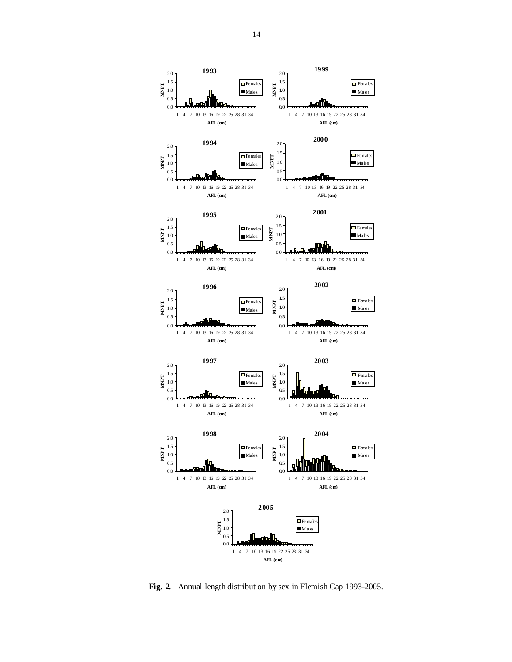

**Fig. 2.** Annual length distribution by sex in Flemish Cap 1993-2005.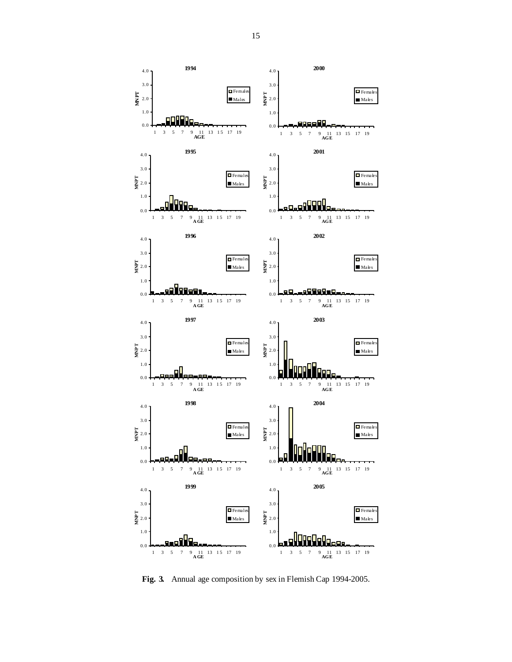

**Fig. 3.** Annual age composition by sex in Flemish Cap 1994-2005.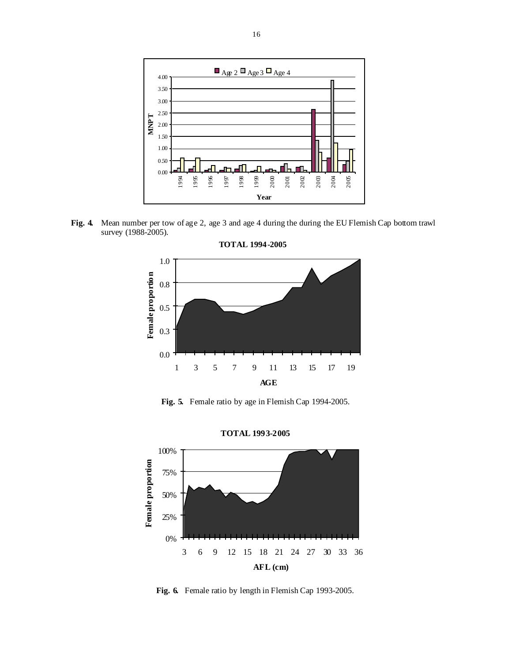

**Fig. 4.** Mean number per tow of age 2, age 3 and age 4 during the during the EU Flemish Cap bottom trawl survey (1988-2005).



**Fig. 5.** Female ratio by age in Flemish Cap 1994-2005.



**TOTAL 1993-2005**

**Fig. 6.** Female ratio by length in Flemish Cap 1993-2005.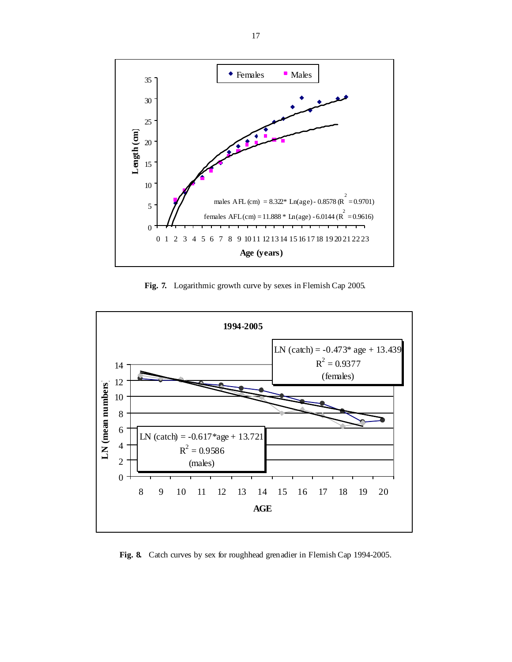

**Fig. 7.** Logarithmic growth curve by sexes in Flemish Cap 2005.



**Fig. 8.** Catch curves by sex for roughhead grenadier in Flemish Cap 1994-2005.